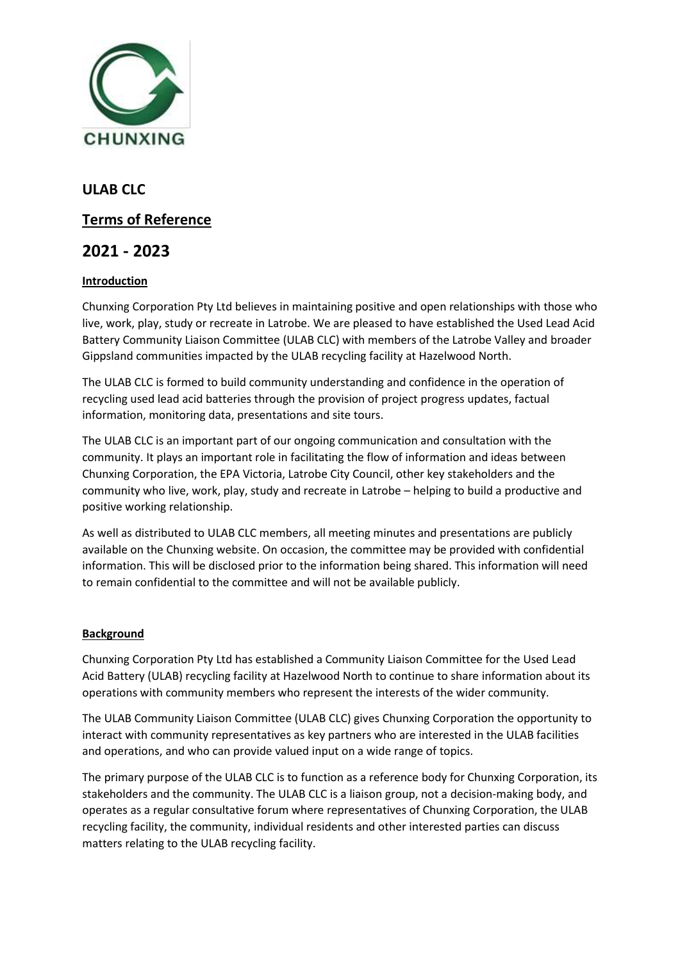

**ULAB CLC**

# **Terms of Reference**

# **2021 - 2023**

# **Introduction**

Chunxing Corporation Pty Ltd believes in maintaining positive and open relationships with those who live, work, play, study or recreate in Latrobe. We are pleased to have established the Used Lead Acid Battery Community Liaison Committee (ULAB CLC) with members of the Latrobe Valley and broader Gippsland communities impacted by the ULAB recycling facility at Hazelwood North.

The ULAB CLC is formed to build community understanding and confidence in the operation of recycling used lead acid batteries through the provision of project progress updates, factual information, monitoring data, presentations and site tours.

The ULAB CLC is an important part of our ongoing communication and consultation with the community. It plays an important role in facilitating the flow of information and ideas between Chunxing Corporation, the EPA Victoria, Latrobe City Council, other key stakeholders and the community who live, work, play, study and recreate in Latrobe – helping to build a productive and positive working relationship.

As well as distributed to ULAB CLC members, all meeting minutes and presentations are publicly available on the Chunxing website. On occasion, the committee may be provided with confidential information. This will be disclosed prior to the information being shared. This information will need to remain confidential to the committee and will not be available publicly.

# **Background**

Chunxing Corporation Pty Ltd has established a Community Liaison Committee for the Used Lead Acid Battery (ULAB) recycling facility at Hazelwood North to continue to share information about its operations with community members who represent the interests of the wider community.

The ULAB Community Liaison Committee (ULAB CLC) gives Chunxing Corporation the opportunity to interact with community representatives as key partners who are interested in the ULAB facilities and operations, and who can provide valued input on a wide range of topics.

The primary purpose of the ULAB CLC is to function as a reference body for Chunxing Corporation, its stakeholders and the community. The ULAB CLC is a liaison group, not a decision-making body, and operates as a regular consultative forum where representatives of Chunxing Corporation, the ULAB recycling facility, the community, individual residents and other interested parties can discuss matters relating to the ULAB recycling facility.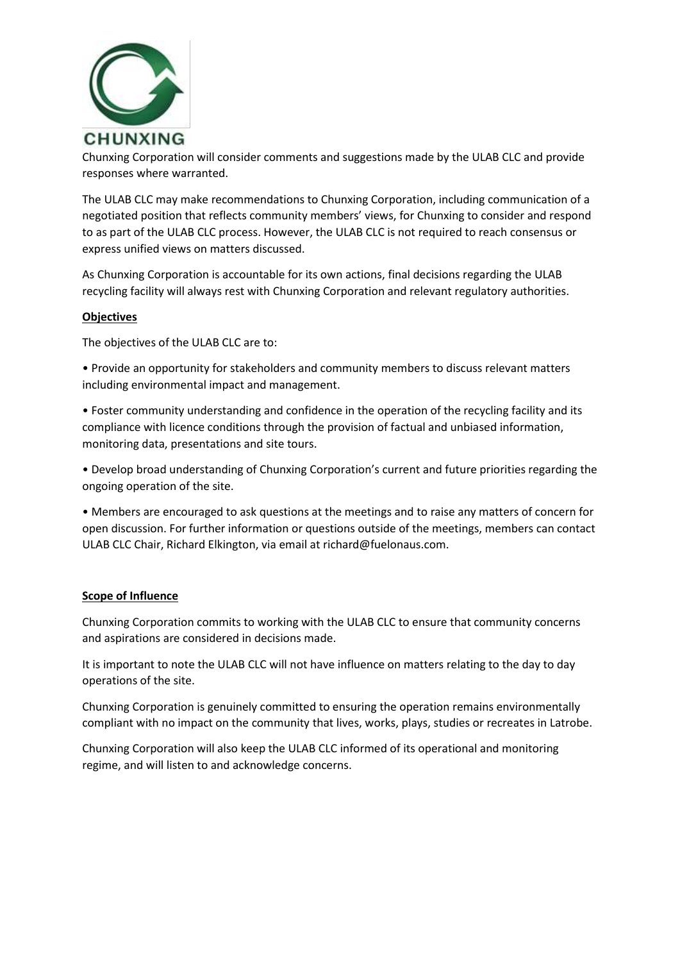

Chunxing Corporation will consider comments and suggestions made by the ULAB CLC and provide responses where warranted.

The ULAB CLC may make recommendations to Chunxing Corporation, including communication of a negotiated position that reflects community members' views, for Chunxing to consider and respond to as part of the ULAB CLC process. However, the ULAB CLC is not required to reach consensus or express unified views on matters discussed.

As Chunxing Corporation is accountable for its own actions, final decisions regarding the ULAB recycling facility will always rest with Chunxing Corporation and relevant regulatory authorities.

## **Objectives**

The objectives of the ULAB CLC are to:

• Provide an opportunity for stakeholders and community members to discuss relevant matters including environmental impact and management.

• Foster community understanding and confidence in the operation of the recycling facility and its compliance with licence conditions through the provision of factual and unbiased information, monitoring data, presentations and site tours.

• Develop broad understanding of Chunxing Corporation's current and future priorities regarding the ongoing operation of the site.

• Members are encouraged to ask questions at the meetings and to raise any matters of concern for open discussion. For further information or questions outside of the meetings, members can contact ULAB CLC Chair, Richard Elkington, via email at richard@fuelonaus.com.

#### **Scope of Influence**

Chunxing Corporation commits to working with the ULAB CLC to ensure that community concerns and aspirations are considered in decisions made.

It is important to note the ULAB CLC will not have influence on matters relating to the day to day operations of the site.

Chunxing Corporation is genuinely committed to ensuring the operation remains environmentally compliant with no impact on the community that lives, works, plays, studies or recreates in Latrobe.

Chunxing Corporation will also keep the ULAB CLC informed of its operational and monitoring regime, and will listen to and acknowledge concerns.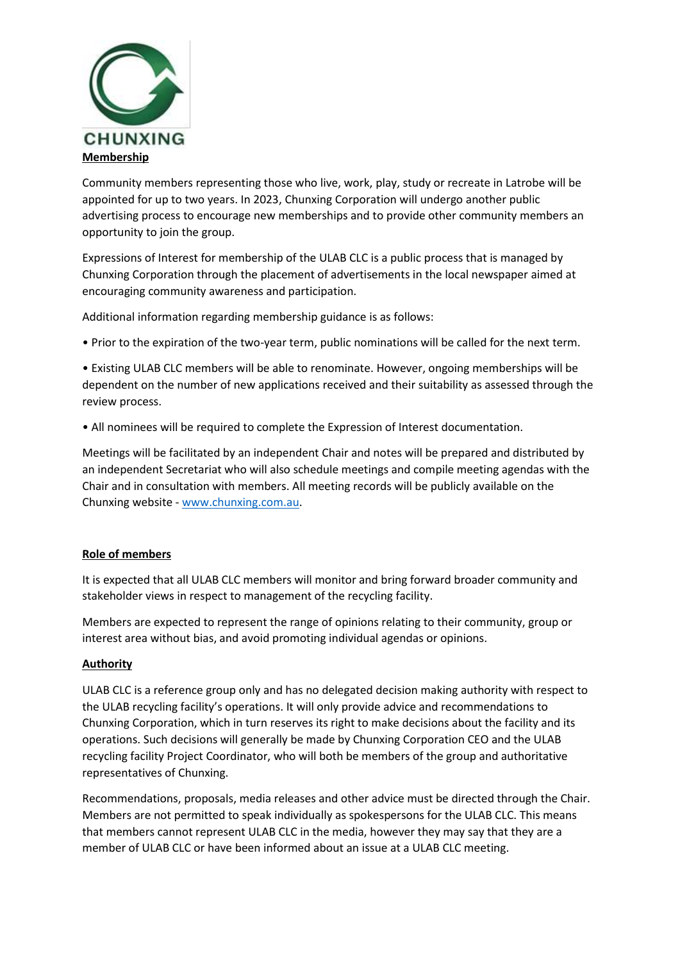

Community members representing those who live, work, play, study or recreate in Latrobe will be appointed for up to two years. In 2023, Chunxing Corporation will undergo another public advertising process to encourage new memberships and to provide other community members an opportunity to join the group.

Expressions of Interest for membership of the ULAB CLC is a public process that is managed by Chunxing Corporation through the placement of advertisements in the local newspaper aimed at encouraging community awareness and participation.

Additional information regarding membership guidance is as follows:

• Prior to the expiration of the two-year term, public nominations will be called for the next term.

• Existing ULAB CLC members will be able to renominate. However, ongoing memberships will be dependent on the number of new applications received and their suitability as assessed through the review process.

• All nominees will be required to complete the Expression of Interest documentation.

Meetings will be facilitated by an independent Chair and notes will be prepared and distributed by an independent Secretariat who will also schedule meetings and compile meeting agendas with the Chair and in consultation with members. All meeting records will be publicly available on the Chunxing website - [www.chunxing.com.au.](http://www.chunxing.com.au/)

#### **Role of members**

It is expected that all ULAB CLC members will monitor and bring forward broader community and stakeholder views in respect to management of the recycling facility.

Members are expected to represent the range of opinions relating to their community, group or interest area without bias, and avoid promoting individual agendas or opinions.

# **Authority**

ULAB CLC is a reference group only and has no delegated decision making authority with respect to the ULAB recycling facility's operations. It will only provide advice and recommendations to Chunxing Corporation, which in turn reserves its right to make decisions about the facility and its operations. Such decisions will generally be made by Chunxing Corporation CEO and the ULAB recycling facility Project Coordinator, who will both be members of the group and authoritative representatives of Chunxing.

Recommendations, proposals, media releases and other advice must be directed through the Chair. Members are not permitted to speak individually as spokespersons for the ULAB CLC. This means that members cannot represent ULAB CLC in the media, however they may say that they are a member of ULAB CLC or have been informed about an issue at a ULAB CLC meeting.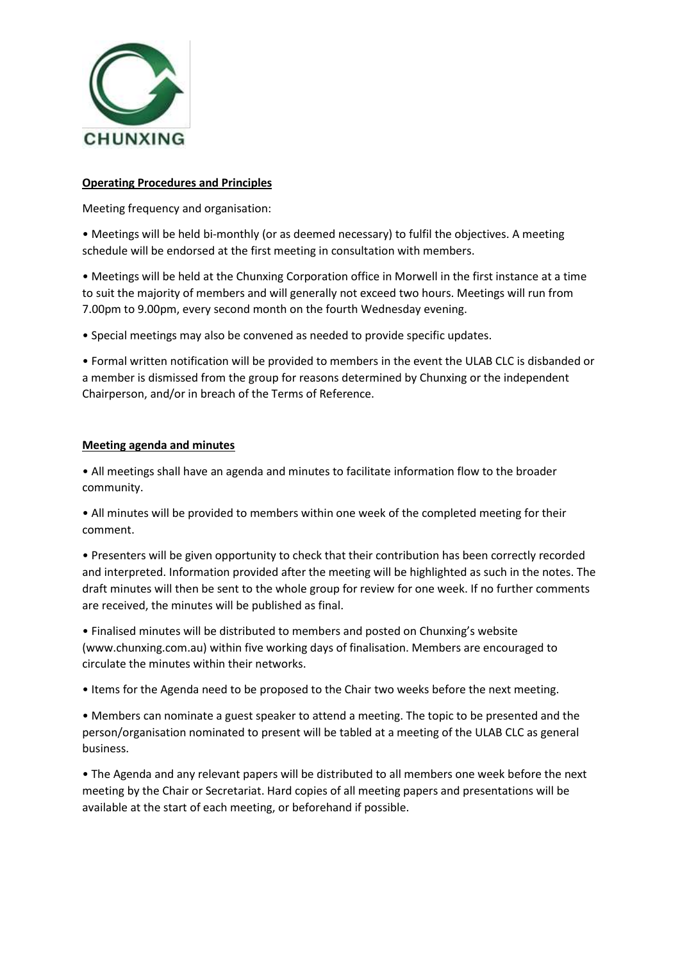

# **Operating Procedures and Principles**

Meeting frequency and organisation:

• Meetings will be held bi-monthly (or as deemed necessary) to fulfil the objectives. A meeting schedule will be endorsed at the first meeting in consultation with members.

• Meetings will be held at the Chunxing Corporation office in Morwell in the first instance at a time to suit the majority of members and will generally not exceed two hours. Meetings will run from 7.00pm to 9.00pm, every second month on the fourth Wednesday evening.

• Special meetings may also be convened as needed to provide specific updates.

• Formal written notification will be provided to members in the event the ULAB CLC is disbanded or a member is dismissed from the group for reasons determined by Chunxing or the independent Chairperson, and/or in breach of the Terms of Reference.

# **Meeting agenda and minutes**

• All meetings shall have an agenda and minutes to facilitate information flow to the broader community.

• All minutes will be provided to members within one week of the completed meeting for their comment.

• Presenters will be given opportunity to check that their contribution has been correctly recorded and interpreted. Information provided after the meeting will be highlighted as such in the notes. The draft minutes will then be sent to the whole group for review for one week. If no further comments are received, the minutes will be published as final.

• Finalised minutes will be distributed to members and posted on Chunxing's website (www.chunxing.com.au) within five working days of finalisation. Members are encouraged to circulate the minutes within their networks.

• Items for the Agenda need to be proposed to the Chair two weeks before the next meeting.

• Members can nominate a guest speaker to attend a meeting. The topic to be presented and the person/organisation nominated to present will be tabled at a meeting of the ULAB CLC as general business.

• The Agenda and any relevant papers will be distributed to all members one week before the next meeting by the Chair or Secretariat. Hard copies of all meeting papers and presentations will be available at the start of each meeting, or beforehand if possible.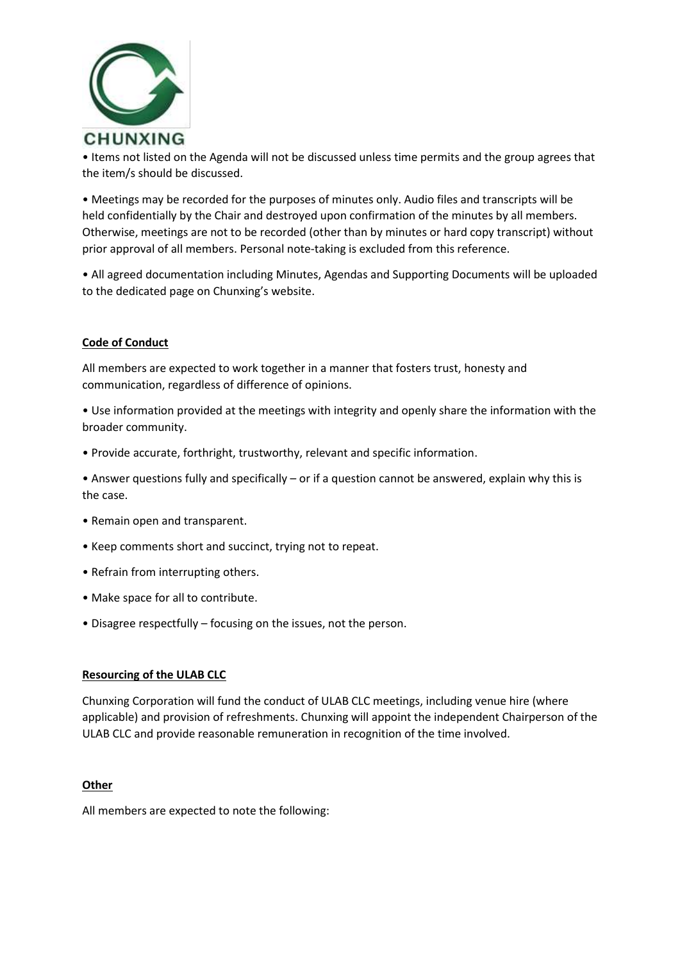

• Items not listed on the Agenda will not be discussed unless time permits and the group agrees that the item/s should be discussed.

• Meetings may be recorded for the purposes of minutes only. Audio files and transcripts will be held confidentially by the Chair and destroyed upon confirmation of the minutes by all members. Otherwise, meetings are not to be recorded (other than by minutes or hard copy transcript) without prior approval of all members. Personal note-taking is excluded from this reference.

• All agreed documentation including Minutes, Agendas and Supporting Documents will be uploaded to the dedicated page on Chunxing's website.

## **Code of Conduct**

All members are expected to work together in a manner that fosters trust, honesty and communication, regardless of difference of opinions.

• Use information provided at the meetings with integrity and openly share the information with the broader community.

• Provide accurate, forthright, trustworthy, relevant and specific information.

• Answer questions fully and specifically – or if a question cannot be answered, explain why this is the case.

- Remain open and transparent.
- Keep comments short and succinct, trying not to repeat.
- Refrain from interrupting others.
- Make space for all to contribute.
- Disagree respectfully focusing on the issues, not the person.

#### **Resourcing of the ULAB CLC**

Chunxing Corporation will fund the conduct of ULAB CLC meetings, including venue hire (where applicable) and provision of refreshments. Chunxing will appoint the independent Chairperson of the ULAB CLC and provide reasonable remuneration in recognition of the time involved.

#### **Other**

All members are expected to note the following: